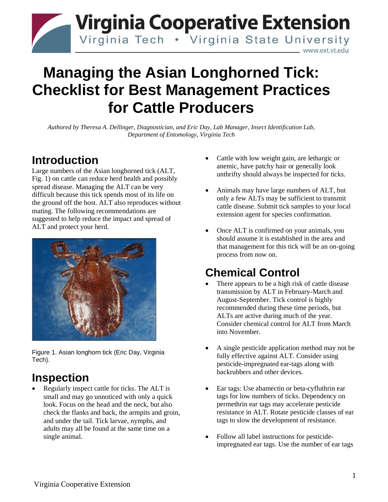

# **Managing the Asian Longhorned Tick: Checklist for Best Management Practices for Cattle Producers**

*Authored by Theresa A. Dellinger, Diagnostician, and Eric Day, Lab Manager, Insect Identification Lab, Department of Entomology, Virginia Tech*

### **Introduction**

Large numbers of the Asian longhorned tick (ALT, Fig. 1) on cattle can reduce herd health and possibly spread disease. Managing the ALT can be very difficult because this tick spends most of its life on the ground off the host. ALT also reproduces without mating. The following recommendations are suggested to help reduce the impact and spread of ALT and protect your herd.



Figure 1. Asian longhorn tick (Eric Day, Virginia Tech).

## **Inspection**

• Regularly inspect cattle for ticks. The ALT is small and may go unnoticed with only a quick look. Focus on the head and the neck, but also check the flanks and back, the armpits and groin, and under the tail. Tick larvae, nymphs, and adults may all be found at the same time on a single animal.

- Cattle with low weight gain, are lethargic or anemic, have patchy hair or generally look unthrifty should always be inspected for ticks.
- Animals may have large numbers of ALT, but only a few ALTs may be sufficient to transmit cattle disease. Submit tick samples to your local extension agent for species confirmation.
- Once ALT is confirmed on your animals, you should assume it is established in the area and that management for this tick will be an on-going process from now on.

# **Chemical Control**

- There appears to be a high risk of cattle disease transmission by ALT in February-March and August-September. Tick control is highly recommended during these time periods, but ALTs are active during much of the year. Consider chemical control for ALT from March into November.
- A single pesticide application method may not be fully effective against ALT. Consider using pesticide-impregnated ear-tags along with backrubbers and other devices.
- Ear tags: Use abamectin or beta-cyfluthrin ear tags for low numbers of ticks. Dependency on permethrin ear tags may accelerate pesticide resistance in ALT. Rotate pesticide classes of ear tags to slow the development of resistance.
- Follow all label instructions for pesticideimpregnated ear tags. Use the number of ear tags